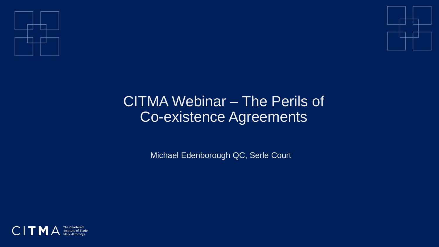



## CITMA Webinar – The Perils of Co-existence Agreements

Michael Edenborough QC, Serle Court

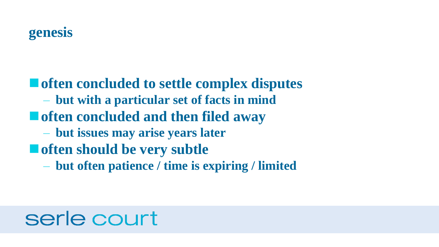■ often concluded to settle complex disputes – **but with a particular set of facts in mind** ■ **often concluded and then filed away** – **but issues may arise years later** ■ often should be very subtle – **but often patience / time is expiring / limited**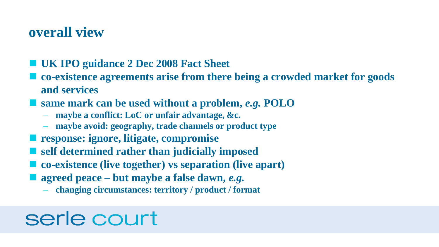#### **overall view**

- **UK IPO guidance 2 Dec 2008 Fact Sheet**
- co-existence agreements arise from there being a crowded market for goods **and services**
- same mark can be used without a problem, *e.g.* POLO
	- **maybe a conflict: LoC or unfair advantage, &c.**
	- **maybe avoid: geography, trade channels or product type**
- **response: ignore, litigate, compromise**
- **self determined rather than judicially imposed**
- **co-existence (live together)** vs separation (live apart)
- agreed peace but maybe a false dawn, *e.g.* 
	- **changing circumstances: territory / product / format**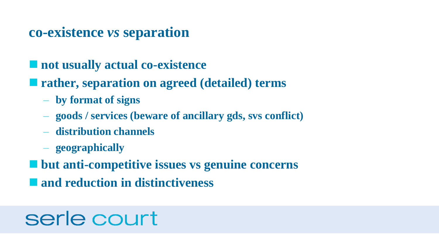#### **co-existence** *vs* **separation**

**■ not usually actual co-existence** 

- **rather, separation on agreed (detailed) terms** 
	- **by format of signs**
	- **goods / services (beware of ancillary gds, svs conflict)**
	- **distribution channels**
	- **geographically**
- but anti-competitive issues vs genuine concerns
- **and reduction in distinctiveness**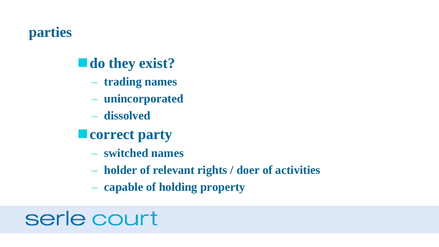## **parties**

## ■ **do they exist?**

- **trading names**
- **unincorporated**
- **dissolved**
- **■** correct party
	- **switched names**
	- **holder of relevant rights / doer of activities**
	- **capable of holding property**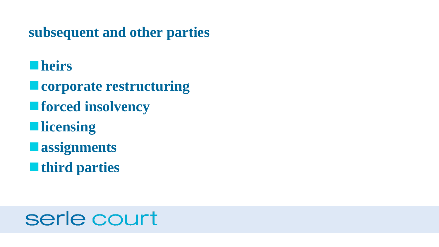**subsequent and other parties**

### ■heirs

- **corporate restructuring ■ forced insolvency**  $\blacksquare$  licensing **<u>■assignments</u>**
- ■**third parties**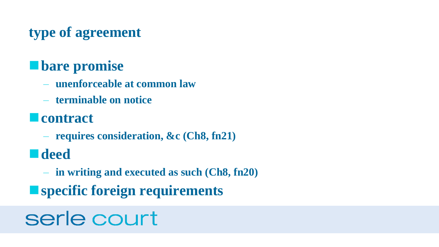## **type of agreement**

## ■**bare promise**

- **unenforceable at common law**
- **terminable on notice**

## ■**contract**

– **requires consideration, &c (Ch8, fn21)**

## ◼**deed**

- **in writing and executed as such (Ch8, fn20)**
- specific foreign requirements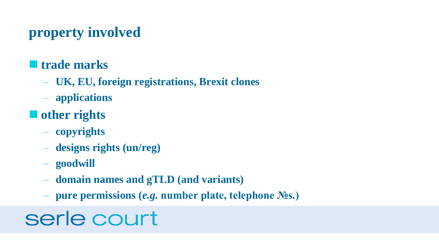## **property involved**

#### **■ trade marks**

- **UK, EU, foreign registrations, Brexit clones**
- **applications**
- other rights
	- **copyrights**
	- **designs rights (un/reg)**
	- **goodwill**
	- **domain names and gTLD (and variants)**
	- **pure permissions (***e.g.* **number plate, telephone №s.)**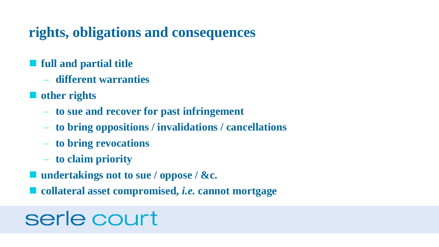### **rights, obligations and consequences**

#### ■ **full and partial title**

- **different warranties**
- other rights
	- **to sue and recover for past infringement**
	- **to bring oppositions / invalidations / cancellations**
	- **to bring revocations**
	- **to claim priority**
- undertakings not to sue / oppose / &c.
- **collateral asset compromised,** *i.e.* **cannot mortgage**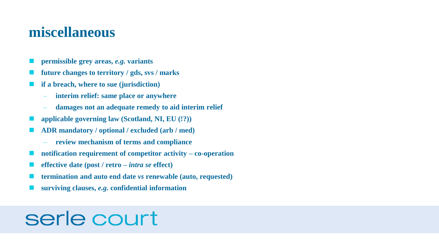#### **miscellaneous**

- ◼ **permissible grey areas,** *e.g.* **variants**
- ◼ **future changes to territory / gds, svs / marks**
- ◼ **if a breach, where to sue (jurisdiction)**
	- **interim relief: same place or anywhere**
	- **damages not an adequate remedy to aid interim relief**
- ◼ **applicable governing law (Scotland, NI, EU (!?))**
- ◼ **ADR mandatory / optional / excluded (arb / med)**
	- **review mechanism of terms and compliance**
- ◼ **notification requirement of competitor activity – co-operation**
- ◼ **effective date (post / retro –** *intra se* **effect)**
- ◼ **termination and auto end date** *vs* **renewable (auto, requested)**
- ◼ **surviving clauses,** *e.g.* **confidential information**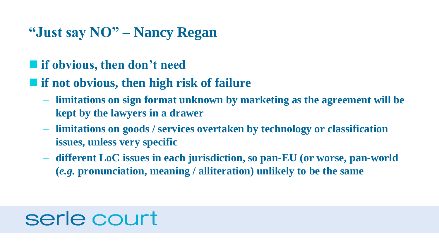#### **"Just say NO" – Nancy Regan**

#### ■ if obvious, then don't need

#### ■ if not obvious, then high risk of failure

- **limitations on sign format unknown by marketing as the agreement will be kept by the lawyers in a drawer**
- **limitations on goods / services overtaken by technology or classification issues, unless very specific**
- **different LoC issues in each jurisdiction, so pan-EU (or worse, pan-world (***e.g.* **pronunciation, meaning / alliteration) unlikely to be the same**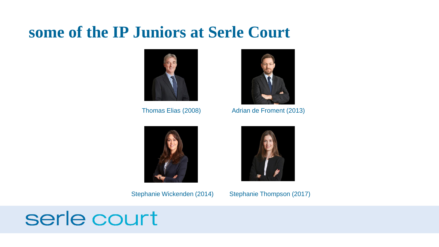## **some of the IP Juniors at Serle Court**







Thomas Elias (2008) Adrian de Froment (2013)



Stephanie Wickenden (2014) Stephanie Thompson (2017)